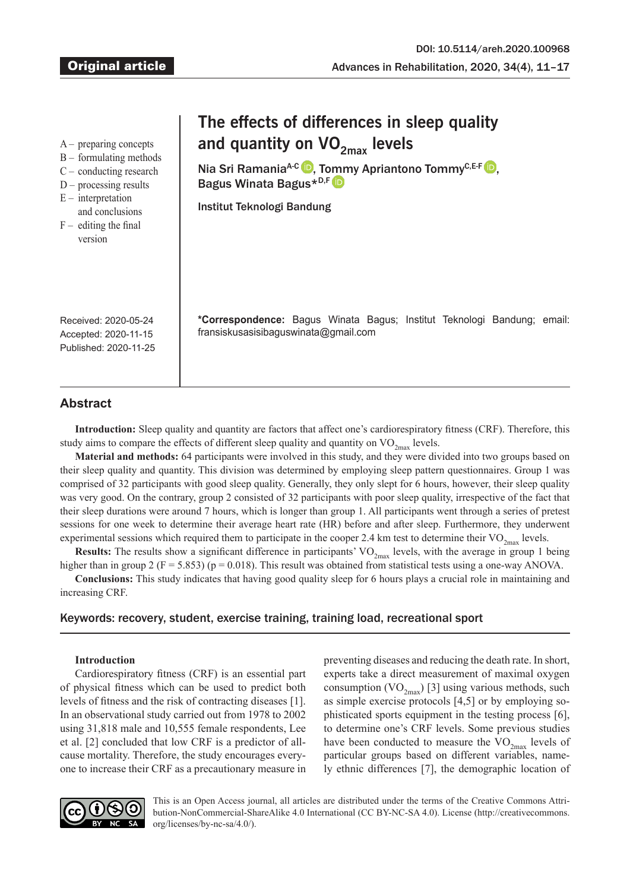A – preparing concepts

- B formulating methods
- C conducting research
- $D$  processing results
- $E$  interpretation
- and conclusions
- $F -$  editing the final version

# **The effects of differences in sleep quality**  and quantity on VO<sub>2max</sub> levels

Nia Sri Ramania<sup>A-C</sup> D[,](https://orcid.org/0000-0002-4461-7913) To[mm](https://orcid.org/0000-0002-9407-163X)y Apriantono Tommy<sup>C,E-F</sup> D, Bagus Winata Bagus\*D,F

Institut Teknologi Bandung

**\*Correspondence:** Bagus Winata Bagus; Institut Teknologi Bandung; email: [fransiskusasisibaguswinata@gmail.com](mailto:fransiskusasisibaguswinata@gmail.com)

Received: 2020-05-24 Accepted: 2020-11-15 Published: 2020-11-25

## **Abstract**

**Introduction:** Sleep quality and quantity are factors that affect one's cardiorespiratory fitness (CRF). Therefore, this study aims to compare the effects of different sleep quality and quantity on  $VO_{2max}$  levels.

**Material and methods:** 64 participants were involved in this study, and they were divided into two groups based on their sleep quality and quantity. This division was determined by employing sleep pattern questionnaires. Group 1 was comprised of 32 participants with good sleep quality. Generally, they only slept for 6 hours, however, their sleep quality was very good. On the contrary, group 2 consisted of 32 participants with poor sleep quality, irrespective of the fact that their sleep durations were around 7 hours, which is longer than group 1. All participants went through a series of pretest sessions for one week to determine their average heart rate (HR) before and after sleep. Furthermore, they underwent experimental sessions which required them to participate in the cooper 2.4 km test to determine their  $VO_{2<sub>max</sub>}$  levels.

**Results:** The results show a significant difference in participants'  $VO_{2max}$  levels, with the average in group 1 being higher than in group 2 ( $F = 5.853$ ) ( $p = 0.018$ ). This result was obtained from statistical tests using a one-way ANOVA.

**Conclusions:** This study indicates that having good quality sleep for 6 hours plays a crucial role in maintaining and increasing CRF.

## Keywords: recovery, student, exercise training, training load, recreational sport

## **Introduction**

Cardiorespiratory fitness (CRF) is an essential part of physical fitness which can be used to predict both levels of fitness and the risk of contracting diseases [1]. In an observational study carried out from 1978 to 2002 using 31,818 male and 10,555 female respondents, Lee et al. [2] concluded that low CRF is a predictor of allcause mortality. Therefore, the study encourages everyone to increase their CRF as a precautionary measure in preventing diseases and reducing the death rate. In short, experts take a direct measurement of maximal oxygen consumption  $(VO_{2max})$  [3] using various methods, such as simple exercise protocols [4,5] or by employing sophisticated sports equipment in the testing process [6], to determine one's CRF levels. Some previous studies have been conducted to measure the  $VO_{2max}$  levels of particular groups based on different variables, namely ethnic differences [7], the demographic location of



This is an Open Access journal, all articles are distributed under the terms of the Creative Commons Attribution-NonCommercial-ShareAlike 4.0 International (CC BY-NC-SA 4.0). License (http://creativecommons. org/licenses/by-nc-sa/4.0/).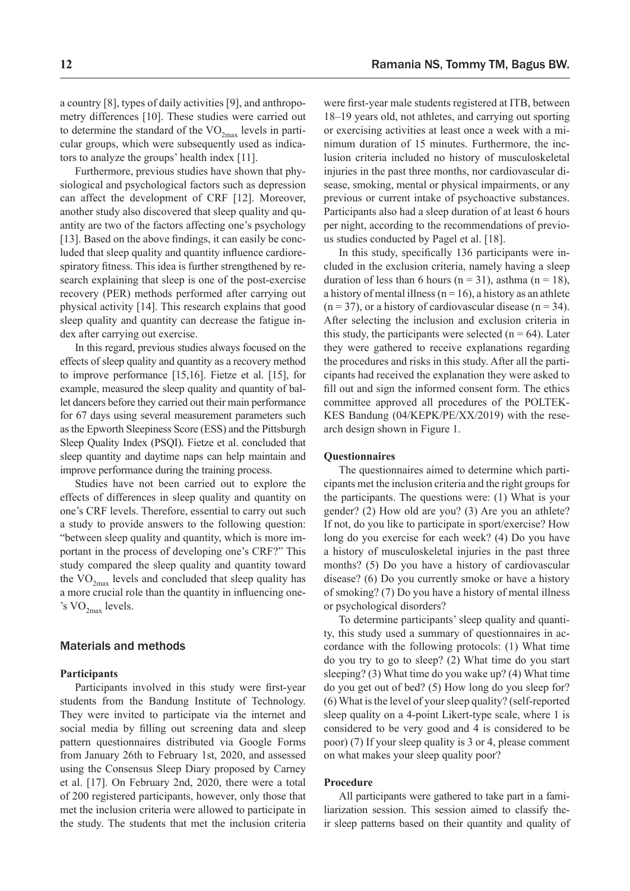a country [8], types of daily activities [9], and anthropometry differences [10]. These studies were carried out to determine the standard of the  $VO_{2max}$  levels in particular groups, which were subsequently used as indicators to analyze the groups' health index [11].

Furthermore, previous studies have shown that physiological and psychological factors such as depression can affect the development of CRF [12]. Moreover, another study also discovered that sleep quality and quantity are two of the factors affecting one's psychology [13]. Based on the above findings, it can easily be concluded that sleep quality and quantity influence cardiorespiratory fitness. This idea is further strengthened by research explaining that sleep is one of the post-exercise recovery (PER) methods performed after carrying out physical activity [14]. This research explains that good sleep quality and quantity can decrease the fatigue index after carrying out exercise.

In this regard, previous studies always focused on the effects of sleep quality and quantity as a recovery method to improve performance [15,16]. Fietze et al. [15], for example, measured the sleep quality and quantity of ballet dancers before they carried out their main performance for 67 days using several measurement parameters such as the Epworth Sleepiness Score (ESS) and the Pittsburgh Sleep Quality Index (PSQI). Fietze et al. concluded that sleep quantity and daytime naps can help maintain and improve performance during the training process.

Studies have not been carried out to explore the effects of differences in sleep quality and quantity on one's CRF levels. Therefore, essential to carry out such a study to provide answers to the following question: "between sleep quality and quantity, which is more important in the process of developing one's CRF?" This study compared the sleep quality and quantity toward the  $VO_{2max}$  levels and concluded that sleep quality has a more crucial role than the quantity in influencing one- 's  $\text{VO}_{2\text{max}}$  levels.

## Materials and methods

#### **Participants**

Participants involved in this study were first-year students from the Bandung Institute of Technology. They were invited to participate via the internet and social media by filling out screening data and sleep pattern questionnaires distributed via Google Forms from January 26th to February 1st, 2020, and assessed using the Consensus Sleep Diary proposed by Carney et al. [17]. On February 2nd, 2020, there were a total of 200 registered participants, however, only those that met the inclusion criteria were allowed to participate in the study. The students that met the inclusion criteria were first-year male students registered at ITB, between 18–19 years old, not athletes, and carrying out sporting or exercising activities at least once a week with a minimum duration of 15 minutes. Furthermore, the inclusion criteria included no history of musculoskeletal injuries in the past three months, nor cardiovascular disease, smoking, mental or physical impairments, or any previous or current intake of psychoactive substances. Participants also had a sleep duration of at least 6 hours per night, according to the recommendations of previous studies conducted by Pagel et al. [18].

In this study, specifically 136 participants were included in the exclusion criteria, namely having a sleep duration of less than 6 hours ( $n = 31$ ), asthma ( $n = 18$ ), a history of mental illness ( $n = 16$ ), a history as an athlete  $(n = 37)$ , or a history of cardiovascular disease  $(n = 34)$ . After selecting the inclusion and exclusion criteria in this study, the participants were selected ( $n = 64$ ). Later they were gathered to receive explanations regarding the procedures and risks in this study. After all the participants had received the explanation they were asked to fill out and sign the informed consent form. The ethics committee approved all procedures of the POLTEK-KES Bandung (04/KEPK/PE/XX/2019) with the research design shown in Figure 1.

#### **Questionnaires**

The questionnaires aimed to determine which participants met the inclusion criteria and the right groups for the participants. The questions were: (1) What is your gender? (2) How old are you? (3) Are you an athlete? If not, do you like to participate in sport/exercise? How long do you exercise for each week? (4) Do you have a history of musculoskeletal injuries in the past three months? (5) Do you have a history of cardiovascular disease? (6) Do you currently smoke or have a history of smoking? (7) Do you have a history of mental illness or psychological disorders?

To determine participants' sleep quality and quantity, this study used a summary of questionnaires in accordance with the following protocols: (1) What time do you try to go to sleep? (2) What time do you start sleeping? (3) What time do you wake up? (4) What time do you get out of bed? (5) How long do you sleep for? (6) What is the level of your sleep quality? (self-reported sleep quality on a 4-point Likert-type scale, where 1 is considered to be very good and 4 is considered to be poor) (7) If your sleep quality is 3 or 4, please comment on what makes your sleep quality poor?

## **Procedure**

All participants were gathered to take part in a familiarization session. This session aimed to classify their sleep patterns based on their quantity and quality of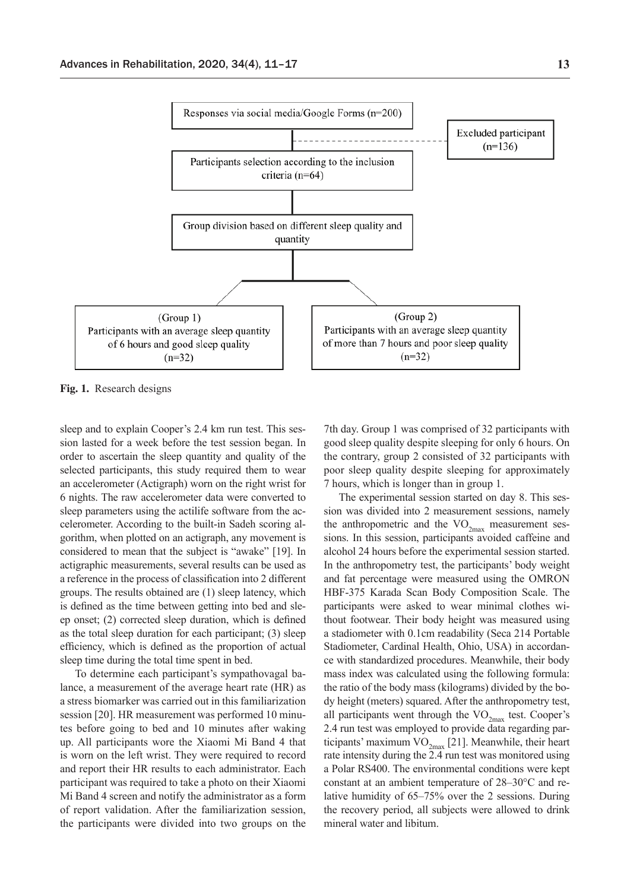

**Fig. 1.** Research designs

sleep and to explain Cooper's 2.4 km run test. This session lasted for a week before the test session began. In order to ascertain the sleep quantity and quality of the selected participants, this study required them to wear an accelerometer (Actigraph) worn on the right wrist for 6 nights. The raw accelerometer data were converted to sleep parameters using the actilife software from the accelerometer. According to the built-in Sadeh scoring algorithm, when plotted on an actigraph, any movement is considered to mean that the subject is "awake" [19]. In actigraphic measurements, several results can be used as a reference in the process of classification into 2 different groups. The results obtained are (1) sleep latency, which is defined as the time between getting into bed and sleep onset; (2) corrected sleep duration, which is defined as the total sleep duration for each participant; (3) sleep efficiency, which is defined as the proportion of actual sleep time during the total time spent in bed.

To determine each participant's sympathovagal balance, a measurement of the average heart rate (HR) as a stress biomarker was carried out in this familiarization session [20]. HR measurement was performed 10 minutes before going to bed and 10 minutes after waking up. All participants wore the Xiaomi Mi Band 4 that is worn on the left wrist. They were required to record and report their HR results to each administrator. Each participant was required to take a photo on their Xiaomi Mi Band 4 screen and notify the administrator as a form of report validation. After the familiarization session, the participants were divided into two groups on the

7th day. Group 1 was comprised of 32 participants with good sleep quality despite sleeping for only 6 hours. On the contrary, group 2 consisted of 32 participants with poor sleep quality despite sleeping for approximately 7 hours, which is longer than in group 1.

The experimental session started on day 8. This session was divided into 2 measurement sessions, namely the anthropometric and the  $VO_{2max}$  measurement sessions. In this session, participants avoided caffeine and alcohol 24 hours before the experimental session started. In the anthropometry test, the participants' body weight and fat percentage were measured using the OMRON HBF-375 Karada Scan Body Composition Scale. The participants were asked to wear minimal clothes without footwear. Their body height was measured using a stadiometer with 0.1cm readability (Seca 214 Portable Stadiometer, Cardinal Health, Ohio, USA) in accordance with standardized procedures. Meanwhile, their body mass index was calculated using the following formula: the ratio of the body mass (kilograms) divided by the body height (meters) squared. After the anthropometry test, all participants went through the  $VO_{2max}$  test. Cooper's 2.4 run test was employed to provide data regarding participants' maximum  $VO_{2max}$  [21]. Meanwhile, their heart rate intensity during the 2.4 run test was monitored using a Polar RS400. The environmental conditions were kept constant at an ambient temperature of 28–30°C and relative humidity of 65–75% over the 2 sessions. During the recovery period, all subjects were allowed to drink mineral water and libitum.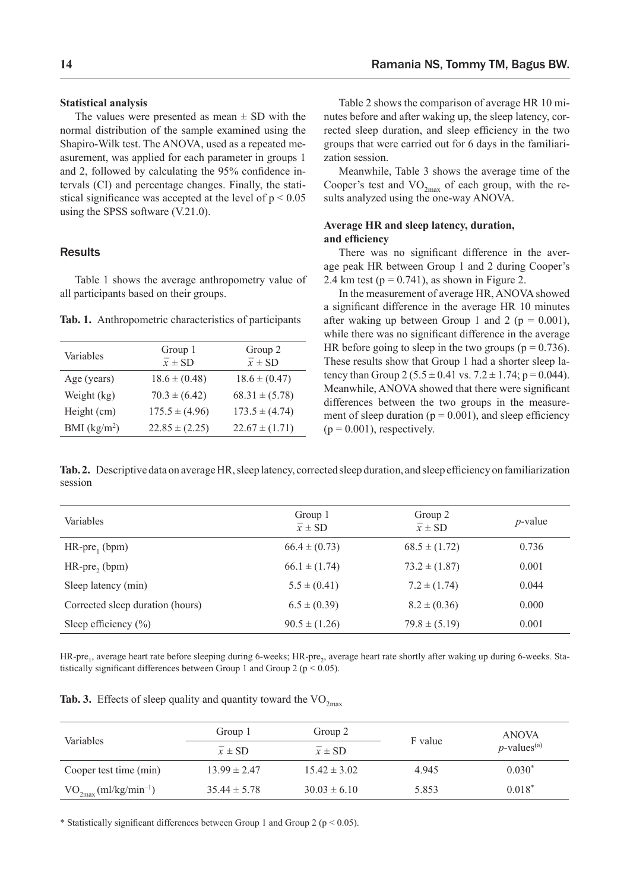## **Statistical analysis**

The values were presented as mean  $\pm$  SD with the normal distribution of the sample examined using the Shapiro-Wilk test. The ANOVA, used as a repeated measurement, was applied for each parameter in groups 1 and 2, followed by calculating the 95% confidence intervals (CI) and percentage changes. Finally, the statistical significance was accepted at the level of  $p < 0.05$ using the SPSS software (V.21.0).

## **Results**

Table 1 shows the average anthropometry value of all participants based on their groups.

**Tab. 1.** Anthropometric characteristics of participants

| Variables     | Group 1<br>$\overline{x}$ ± SD | Group 2<br>$\overline{x}$ ± SD |
|---------------|--------------------------------|--------------------------------|
| Age (years)   | $18.6 \pm (0.48)$              | $18.6 \pm (0.47)$              |
| Weight (kg)   | $70.3 \pm (6.42)$              | $68.31 \pm (5.78)$             |
| Height (cm)   | $175.5 \pm (4.96)$             | $173.5 \pm (4.74)$             |
| BMI $(kg/m2)$ | $22.85 \pm (2.25)$             | $22.67 \pm (1.71)$             |

Table 2 shows the comparison of average HR 10 minutes before and after waking up, the sleep latency, corrected sleep duration, and sleep efficiency in the two groups that were carried out for 6 days in the familiarization session.

Meanwhile, Table 3 shows the average time of the Cooper's test and  $VO_{2<sub>max</sub>}$  of each group, with the results analyzed using the one-way ANOVA.

## **Average HR and sleep latency, duration, and efficiency**

There was no significant difference in the average peak HR between Group 1 and 2 during Cooper's 2.4 km test ( $p = 0.741$ ), as shown in Figure 2.

In the measurement of average HR, ANOVA showed a significant difference in the average HR 10 minutes after waking up between Group 1 and 2 ( $p = 0.001$ ), while there was no significant difference in the average HR before going to sleep in the two groups ( $p = 0.736$ ). These results show that Group 1 had a shorter sleep latency than Group 2 ( $5.5 \pm 0.41$  vs.  $7.2 \pm 1.74$ ; p = 0.044). Meanwhile, ANOVA showed that there were significant differences between the two groups in the measurement of sleep duration ( $p = 0.001$ ), and sleep efficiency  $(p = 0.001)$ , respectively.

**Tab. 2.** Descriptive data on average HR, sleep latency, corrected sleep duration, and sleep efficiency on familiarization session

| Variables                        | Group 1<br>$\overline{x}$ ± SD | Group 2<br>$\overline{x}$ ± SD | $p$ -value |
|----------------------------------|--------------------------------|--------------------------------|------------|
| $HR-pre_1$ (bpm)                 | $66.4 \pm (0.73)$              | $68.5 \pm (1.72)$              | 0.736      |
| $HR-pre, (bpm)$                  | $66.1 \pm (1.74)$              | $73.2 \pm (1.87)$              | 0.001      |
| Sleep latency (min)              | $5.5 \pm (0.41)$               | $7.2 \pm (1.74)$               | 0.044      |
| Corrected sleep duration (hours) | $6.5 \pm (0.39)$               | $8.2 \pm (0.36)$               | 0.000      |
| Sleep efficiency $(\% )$         | $90.5 \pm (1.26)$              | $79.8 \pm (5.19)$              | 0.001      |

HR-pre., average heart rate before sleeping during 6-weeks; HR-pre<sub>3</sub>, average heart rate shortly after waking up during 6-weeks. Statistically significant differences between Group 1 and Group 2 ( $p < 0.05$ ).

| <b>Tab. 3.</b> Effects of sleep quality and quantity toward the $VO_{2max}$ |  |
|-----------------------------------------------------------------------------|--|
|-----------------------------------------------------------------------------|--|

| <b>Variables</b>            | Group 1             | Group 2             | F value | <b>ANOVA</b><br>$p$ -values <sup>(a)</sup> |
|-----------------------------|---------------------|---------------------|---------|--------------------------------------------|
|                             | $\overline{x}$ ± SD | $\overline{x}$ ± SD |         |                                            |
| Cooper test time (min)      | $13.99 \pm 2.47$    | $15.42 \pm 3.02$    | 4.945   | $0.030*$                                   |
| $VO_{2max}(ml/kg/min^{-1})$ | $35.44 \pm 5.78$    | $30.03 \pm 6.10$    | 5.853   | $0.018*$                                   |

\* Statistically significant differences between Group 1 and Group 2 ( $p < 0.05$ ).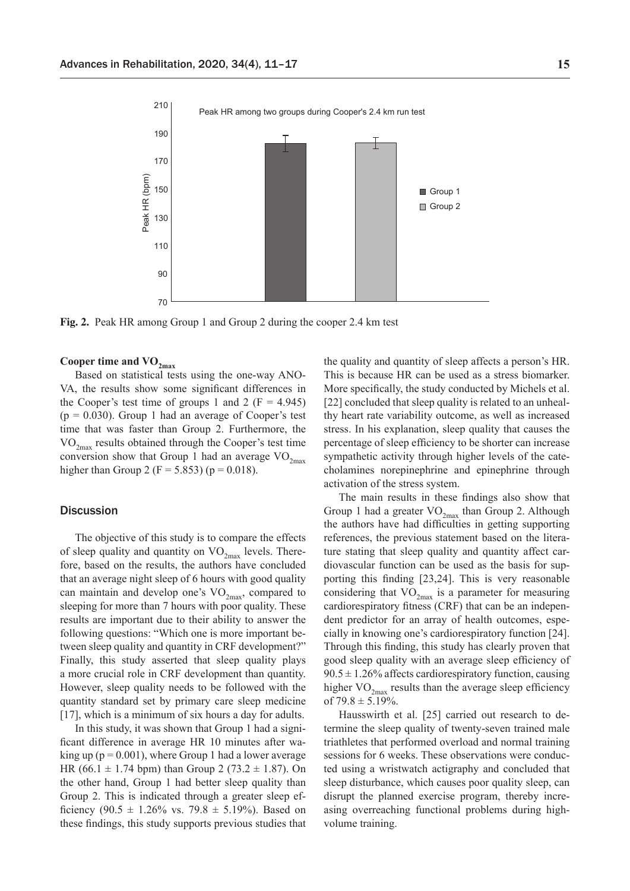

**Fig. 2.** Peak HR among Group 1 and Group 2 during the cooper 2.4 km test

## Cooper time and  $VO_{2max}$

Based on statistical tests using the one-way ANO-VA, the results show some significant differences in the Cooper's test time of groups 1 and 2 ( $F = 4.945$ )  $(p = 0.030)$ . Group 1 had an average of Cooper's test time that was faster than Group 2. Furthermore, the  $VO_{2max}$  results obtained through the Cooper's test time conversion show that Group 1 had an average  $\rm VO_{2max}$ higher than Group 2 (F = 5.853) ( $p = 0.018$ ).

#### **Discussion**

The objective of this study is to compare the effects of sleep quality and quantity on  $VO_{2max}$  levels. Therefore, based on the results, the authors have concluded that an average night sleep of 6 hours with good quality can maintain and develop one's  $VO_{2max}$ , compared to sleeping for more than 7 hours with poor quality. These results are important due to their ability to answer the following questions: "Which one is more important between sleep quality and quantity in CRF development?" Finally, this study asserted that sleep quality plays a more crucial role in CRF development than quantity. However, sleep quality needs to be followed with the quantity standard set by primary care sleep medicine [17], which is a minimum of six hours a day for adults.

In this study, it was shown that Group 1 had a significant difference in average HR 10 minutes after waking up ( $p = 0.001$ ), where Group 1 had a lower average HR (66.1  $\pm$  1.74 bpm) than Group 2 (73.2  $\pm$  1.87). On the other hand, Group 1 had better sleep quality than Group 2. This is indicated through a greater sleep efficiency (90.5  $\pm$  1.26% vs. 79.8  $\pm$  5.19%). Based on these findings, this study supports previous studies that the quality and quantity of sleep affects a person's HR. This is because HR can be used as a stress biomarker. More specifically, the study conducted by Michels et al. [22] concluded that sleep quality is related to an unhealthy heart rate variability outcome, as well as increased stress. In his explanation, sleep quality that causes the percentage of sleep efficiency to be shorter can increase sympathetic activity through higher levels of the catecholamines norepinephrine and epinephrine through activation of the stress system.

The main results in these findings also show that Group 1 had a greater  $VO_{2max}$  than Group 2. Although the authors have had difficulties in getting supporting references, the previous statement based on the literature stating that sleep quality and quantity affect cardiovascular function can be used as the basis for supporting this finding [23,24]. This is very reasonable considering that  $VO_{2max}$  is a parameter for measuring cardiorespiratory fitness (CRF) that can be an independent predictor for an array of health outcomes, especially in knowing one's cardiorespiratory function [24]. Through this finding, this study has clearly proven that good sleep quality with an average sleep efficiency of  $90.5 \pm 1.26\%$  affects cardiorespiratory function, causing higher  $VO_{2max}$  results than the average sleep efficiency of  $79.8 \pm 5.19\%$ .

Hausswirth et al. [25] carried out research to determine the sleep quality of twenty-seven trained male triathletes that performed overload and normal training sessions for 6 weeks. These observations were conducted using a wristwatch actigraphy and concluded that sleep disturbance, which causes poor quality sleep, can disrupt the planned exercise program, thereby increasing overreaching functional problems during highvolume training.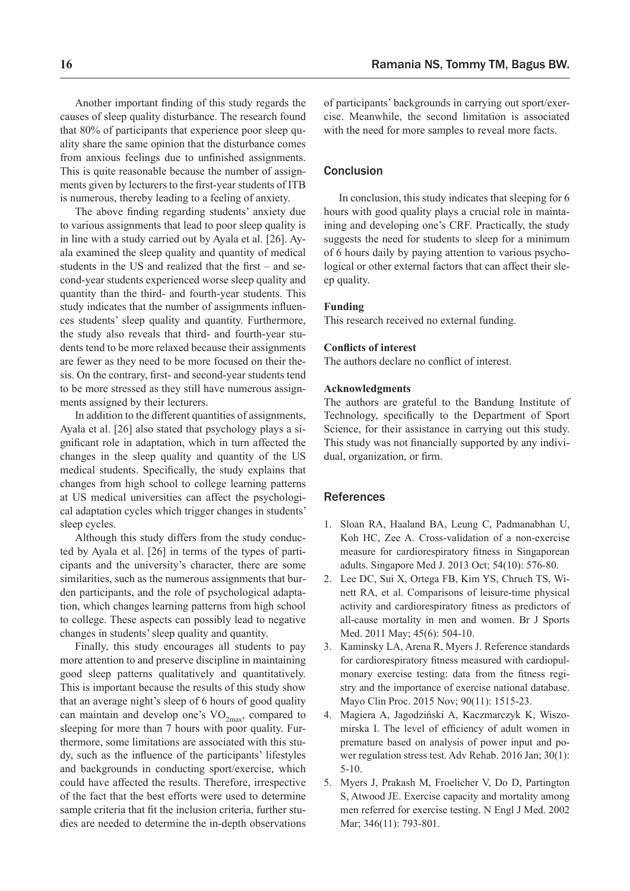Another important finding of this study regards the causes of sleep quality disturbance. The research found that 80% of participants that experience poor sleep quality share the same opinion that the disturbance comes from anxious feelings due to unfinished assignments. This is quite reasonable because the number of assignments given by lecturers to the first-year students of ITB is numerous, thereby leading to a feeling of anxiety.

The above finding regarding students' anxiety due to various assignments that lead to poor sleep quality is in line with a study carried out by Ayala et al. [26]. Ayala examined the sleep quality and quantity of medical students in the US and realized that the first – and second-year students experienced worse sleep quality and quantity than the third- and fourth-year students. This study indicates that the number of assignments influences students' sleep quality and quantity. Furthermore, the study also reveals that third- and fourth-year students tend to be more relaxed because their assignments are fewer as they need to be more focused on their thesis. On the contrary, first- and second-year students tend to be more stressed as they still have numerous assignments assigned by their lecturers.

In addition to the different quantities of assignments, Ayala et al. [26] also stated that psychology plays a significant role in adaptation, which in turn affected the changes in the sleep quality and quantity of the US medical students. Specifically, the study explains that changes from high school to college learning patterns at US medical universities can affect the psychological adaptation cycles which trigger changes in students' sleep cycles.

Although this study differs from the study conducted by Ayala et al. [26] in terms of the types of participants and the university's character, there are some similarities, such as the numerous assignments that burden participants, and the role of psychological adaptation, which changes learning patterns from high school to college. These aspects can possibly lead to negative changes in students' sleep quality and quantity.

Finally, this study encourages all students to pay more attention to and preserve discipline in maintaining good sleep patterns qualitatively and quantitatively. This is important because the results of this study show that an average night's sleep of 6 hours of good quality can maintain and develop one's  $VO_{2max}$ , compared to sleeping for more than 7 hours with poor quality. Furthermore, some limitations are associated with this study, such as the influence of the participants' lifestyles and backgrounds in conducting sport/exercise, which could have affected the results. Therefore, irrespective of the fact that the best efforts were used to determine sample criteria that fit the inclusion criteria, further studies are needed to determine the in-depth observations of participants' backgrounds in carrying out sport/exercise. Meanwhile, the second limitation is associated with the need for more samples to reveal more facts.

## **Conclusion**

In conclusion, this study indicates that sleeping for 6 hours with good quality plays a crucial role in maintaining and developing one's CRF. Practically, the study suggests the need for students to sleep for a minimum of 6 hours daily by paying attention to various psychological or other external factors that can affect their sleep quality.

#### **Funding**

This research received no external funding.

## **Conflicts of interest**

The authors declare no conflict of interest.

#### **Acknowledgments**

The authors are grateful to the Bandung Institute of Technology, specifically to the Department of Sport Science, for their assistance in carrying out this study. This study was not financially supported by any individual, organization, or firm.

## References

- 1. Sloan RA, Haaland BA, Leung C, Padmanabhan U, Koh HC, Zee A. Cross-validation of a non-exercise measure for cardiorespiratory fitness in Singaporean adults. Singapore Med J. 2013 Oct; 54(10): 576-80.
- 2. Lee DC, Sui X, Ortega FB, Kim YS, Chruch TS, Winett RA, et al. Comparisons of leisure-time physical activity and cardiorespiratory fitness as predictors of all-cause mortality in men and women. Br J Sports Med. 2011 May; 45(6): 504-10.
- 3. Kaminsky LA, Arena R, Myers J. Reference standards for cardiorespiratory fitness measured with cardiopulmonary exercise testing: data from the fitness registry and the importance of exercise national database. Mayo Clin Proc. 2015 Nov; 90(11): 1515-23.
- 4. Magiera A, Jagodziński A, Kaczmarczyk K, Wiszomirska I. The level of efficiency of adult women in premature based on analysis of power input and power regulation stress test. Adv Rehab. 2016 Jan; 30(1): 5-10.
- 5. Myers J, Prakash M, Froelicher V, Do D, Partington S, Atwood JE. Exercise capacity and mortality among men referred for exercise testing. N Engl J Med. 2002 Mar; 346(11): 793-801.